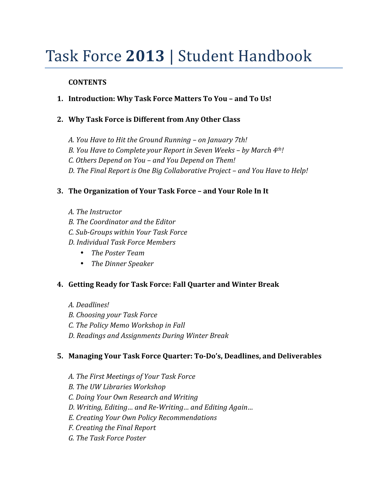## Task Force 2013 | Student Handbook

### **CONTENTS**

- **1. Introduction: Why Task Force Matters To You and To Us!**
- **2. Why Task Force is Different from Any Other Class** 
	- *A. You Have to Hit the Ground Running on January 7th!*
	- *B. You Have to Complete your Report in Seven Weeks by March 4th!*
	- *C. Others Depend on You and You Depend on Them!*
	- *D. The Final Report is One Big Collaborative Project and You Have to Help!*

### **3. The Organization of Your Task Force – and Your Role In It**

- *A. The Instructor*
- *B. The Coordinator and the Editor*
- *C. Sub-Groups within Your Task Force*
- *D. Individual Task Force Members* 
	- *The Poster Team*
	- *The Dinner Speaker*

### **4. Getting Ready for Task Force: Fall Quarter and Winter Break**

- *A. Deadlines!*
- *B. Choosing your Task Force*
- *C. The Policy Memo Workshop in Fall*
- *D. Readings and Assignments During Winter Break*

### **5. Managing Your Task Force Quarter: To-Do's, Deadlines, and Deliverables**

- *A. The First Meetings of Your Task Force*
- *B. The UW Libraries Workshop*
- *C. Doing Your Own Research and Writing*
- *D. Writing, Editing… and Re-Writing… and Editing Again…*
- *E. Creating Your Own Policy Recommendations*
- *F. Creating the Final Report*
- *G. The Task Force Poster*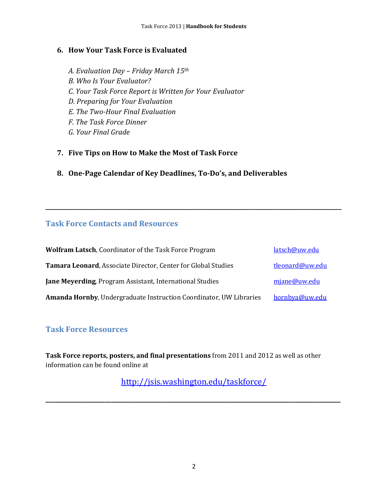### **6. How Your Task Force is Evaluated**

- *A. Evaluation Day Friday March 15th B. Who Is Your Evaluator? C. Your Task Force Report is Written for Your Evaluator D. Preparing for Your Evaluation E. The Two-Hour Final Evaluation F. The Task Force Dinner G. Your Final Grade*
- **7. Five Tips on How to Make the Most of Task Force**
- **8. One-Page Calendar of Key Deadlines, To-Do's, and Deliverables**

### **Task Force Contacts and Resources**

| <b>Wolfram Latsch, Coordinator of the Task Force Program</b>              | latsch@uw.edu   |
|---------------------------------------------------------------------------|-----------------|
| Tamara Leonard, Associate Director, Center for Global Studies             | tleonard@uw.edu |
| <b>Jane Meyerding, Program Assistant, International Studies</b>           | mjane@uw.edu    |
| <b>Amanda Hornby, Undergraduate Instruction Coordinator, UW Libraries</b> | hornbya@uw.edu  |

**\_\_\_\_\_\_\_\_\_\_\_\_\_\_\_\_\_\_\_\_\_\_\_\_\_\_\_\_\_\_\_\_\_\_\_\_\_\_\_\_\_\_\_\_\_\_\_\_\_\_\_\_\_\_\_\_\_\_\_\_\_\_\_\_\_\_\_\_\_\_\_\_\_\_\_\_\_\_\_\_\_\_\_\_\_\_\_\_\_\_\_\_\_\_\_\_\_\_\_\_\_\_\_\_\_** 

### **Task Force Resources**

Task Force reports, posters, and final presentations from 2011 and 2012 as well as other information can be found online at

http://jsis.washington.edu/taskforce/

**\_\_\_\_\_\_\_\_\_\_\_\_\_\_\_\_\_\_\_\_\_\_\_\_\_\_\_\_\_\_\_\_\_\_\_\_\_\_\_\_\_\_\_\_\_\_\_\_\_\_\_\_\_\_\_\_\_\_\_\_\_\_\_\_\_\_\_\_\_\_\_\_\_\_\_\_\_\_\_\_\_\_\_\_\_**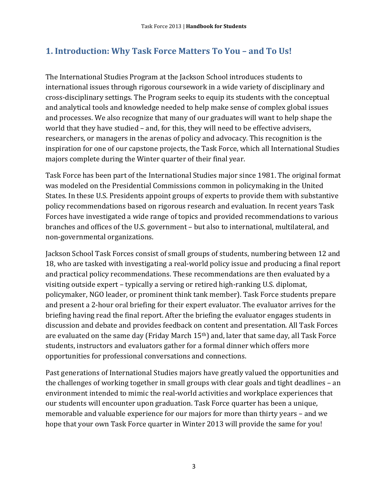### **1. Introduction: Why Task Force Matters To You – and To Us!**

The International Studies Program at the Jackson School introduces students to international issues through rigorous coursework in a wide variety of disciplinary and cross-disciplinary settings. The Program seeks to equip its students with the conceptual and analytical tools and knowledge needed to help make sense of complex global issues and processes. We also recognize that many of our graduates will want to help shape the world that they have studied – and, for this, they will need to be effective advisers, researchers, or managers in the arenas of policy and advocacy. This recognition is the inspiration for one of our capstone projects, the Task Force, which all International Studies majors complete during the Winter quarter of their final year.

Task Force has been part of the International Studies major since 1981. The original format was modeled on the Presidential Commissions common in policymaking in the United States. In these U.S. Presidents appoint groups of experts to provide them with substantive policy recommendations based on rigorous research and evaluation. In recent years Task Forces have investigated a wide range of topics and provided recommendations to various branches and offices of the U.S. government - but also to international, multilateral, and non-governmental organizations. 

Jackson School Task Forces consist of small groups of students, numbering between 12 and 18, who are tasked with investigating a real-world policy issue and producing a final report and practical policy recommendations. These recommendations are then evaluated by a visiting outside expert – typically a serving or retired high-ranking U.S. diplomat, policymaker, NGO leader, or prominent think tank member). Task Force students prepare and present a 2-hour oral briefing for their expert evaluator. The evaluator arrives for the briefing having read the final report. After the briefing the evaluator engages students in discussion and debate and provides feedback on content and presentation. All Task Forces are evaluated on the same day (Friday March  $15<sup>th</sup>$ ) and, later that same day, all Task Force students, instructors and evaluators gather for a formal dinner which offers more opportunities for professional conversations and connections.

Past generations of International Studies majors have greatly valued the opportunities and the challenges of working together in small groups with clear goals and tight deadlines  $-$  an environment intended to mimic the real-world activities and workplace experiences that our students will encounter upon graduation. Task Force quarter has been a unique, memorable and valuable experience for our majors for more than thirty years – and we hope that your own Task Force quarter in Winter 2013 will provide the same for you!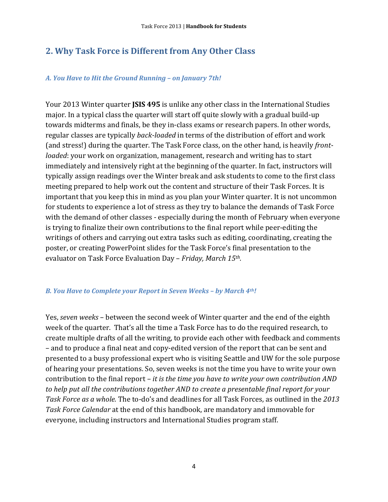### **2. Why Task Force is Different from Any Other Class**

#### *A. You Have to Hit the Ground Running – on January 7th!*

Your 2013 Winter quarter **JSIS 495** is unlike any other class in the International Studies major. In a typical class the quarter will start off quite slowly with a gradual build-up towards midterms and finals, be they in-class exams or research papers. In other words, regular classes are typically *back-loaded* in terms of the distribution of effort and work (and stress!) during the quarter. The Task Force class, on the other hand, is heavily *frontloaded*: your work on organization, management, research and writing has to start immediately and intensively right at the beginning of the quarter. In fact, instructors will typically assign readings over the Winter break and ask students to come to the first class meeting prepared to help work out the content and structure of their Task Forces. It is important that you keep this in mind as you plan your Winter quarter. It is not uncommon for students to experience a lot of stress as they try to balance the demands of Task Force with the demand of other classes - especially during the month of February when everyone is trying to finalize their own contributions to the final report while peer-editing the writings of others and carrying out extra tasks such as editing, coordinating, creating the poster, or creating PowerPoint slides for the Task Force's final presentation to the evaluator on Task Force Evaluation Day - Friday, March 15<sup>th</sup>.

#### *B. You Have to Complete your Report in Seven Weeks – by March 4th!*

Yes, *seven weeks* – between the second week of Winter quarter and the end of the eighth week of the quarter. That's all the time a Task Force has to do the required research, to create multiple drafts of all the writing, to provide each other with feedback and comments – and to produce a final neat and copy-edited version of the report that can be sent and presented to a busy professional expert who is visiting Seattle and UW for the sole purpose of hearing your presentations. So, seven weeks is not the time you have to write your own contribution to the final report – it is the time you have to write your own contribution AND *to help put all the contributions together AND to create a presentable final report for your Task Force as a whole.* The to-do's and deadlines for all Task Forces, as outlined in the 2013 *Task Force Calendar* at the end of this handbook, are mandatory and immovable for everyone, including instructors and International Studies program staff.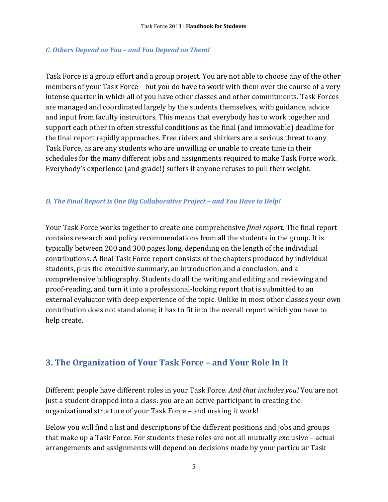#### *C. Others Depend on You – and You Depend on Them!*

Task Force is a group effort and a group project. You are not able to choose any of the other members of your Task Force – but you do have to work with them over the course of a very intense quarter in which all of you have other classes and other commitments. Task Forces are managed and coordinated largely by the students themselves, with guidance, advice and input from faculty instructors. This means that everybody has to work together and support each other in often stressful conditions as the final (and immovable) deadline for the final report rapidly approaches. Free riders and shirkers are a serious threat to any Task Force, as are any students who are unwilling or unable to create time in their schedules for the many different jobs and assignments required to make Task Force work. Everybody's experience (and grade!) suffers if anyone refuses to pull their weight.

### *D. The Final Report is One Big Collaborative Project – and You Have to Help!*

Your Task Force works together to create one comprehensive *final report*. The final report contains research and policy recommendations from all the students in the group. It is typically between 200 and 300 pages long, depending on the length of the individual contributions. A final Task Force report consists of the chapters produced by individual students, plus the executive summary, an introduction and a conclusion, and a comprehensive bibliography. Students do all the writing and editing and reviewing and proof-reading, and turn it into a professional-looking report that is submitted to an external evaluator with deep experience of the topic. Unlike in most other classes your own contribution does not stand alone; it has to fit into the overall report which you have to help create.

### **3. The Organization of Your Task Force – and Your Role In It**

Different people have different roles in your Task Force. And that includes you! You are not just a student dropped into a class: you are an active participant in creating the organizational structure of your Task Force - and making it work!

Below you will find a list and descriptions of the different positions and jobs and groups that make up a Task Force. For students these roles are not all mutually exclusive – actual arrangements and assignments will depend on decisions made by your particular Task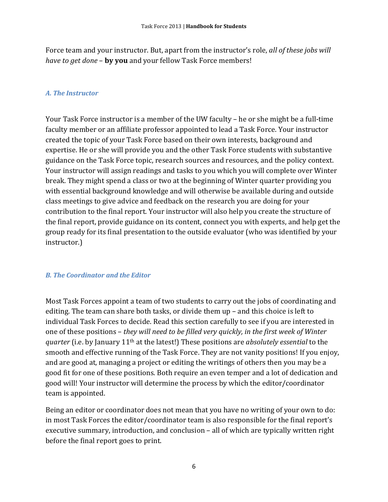Force team and your instructor. But, apart from the instructor's role, *all of these jobs will have to get done* – **by you** and your fellow Task Force members!

### *A. The Instructor*

Your Task Force instructor is a member of the UW faculty – he or she might be a full-time faculty member or an affiliate professor appointed to lead a Task Force. Your instructor created the topic of your Task Force based on their own interests, background and expertise. He or she will provide you and the other Task Force students with substantive guidance on the Task Force topic, research sources and resources, and the policy context. Your instructor will assign readings and tasks to you which you will complete over Winter break. They might spend a class or two at the beginning of Winter quarter providing you with essential background knowledge and will otherwise be available during and outside class meetings to give advice and feedback on the research you are doing for your contribution to the final report. Your instructor will also help you create the structure of the final report, provide guidance on its content, connect you with experts, and help get the group ready for its final presentation to the outside evaluator (who was identified by your instructor.) 

### *B. The Coordinator and the Editor*

Most Task Forces appoint a team of two students to carry out the jobs of coordinating and editing. The team can share both tasks, or divide them  $up$  – and this choice is left to individual Task Forces to decide. Read this section carefully to see if you are interested in one of these positions – *they will need to be filled very quickly, in the first week of Winter quarter* (i.e. by January 11<sup>th</sup> at the latest!) These positions are *absolutely essential* to the smooth and effective running of the Task Force. They are not vanity positions! If you enjoy, and are good at, managing a project or editing the writings of others then you may be a good fit for one of these positions. Both require an even temper and a lot of dedication and good will! Your instructor will determine the process by which the editor/coordinator team is appointed.

Being an editor or coordinator does not mean that you have no writing of your own to do: in most Task Forces the editor/coordinator team is also responsible for the final report's executive summary, introduction, and conclusion - all of which are typically written right before the final report goes to print.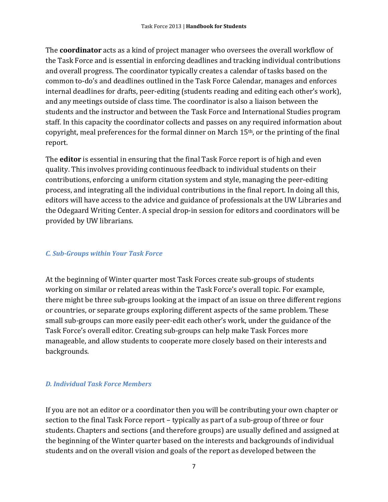The **coordinator** acts as a kind of project manager who oversees the overall workflow of the Task Force and is essential in enforcing deadlines and tracking individual contributions and overall progress. The coordinator typically creates a calendar of tasks based on the common to-do's and deadlines outlined in the Task Force Calendar, manages and enforces internal deadlines for drafts, peer-editing (students reading and editing each other's work), and any meetings outside of class time. The coordinator is also a liaison between the students and the instructor and between the Task Force and International Studies program staff. In this capacity the coordinator collects and passes on any required information about copyright, meal preferences for the formal dinner on March  $15<sup>th</sup>$ , or the printing of the final report. 

The **editor** is essential in ensuring that the final Task Force report is of high and even quality. This involves providing continuous feedback to individual students on their contributions, enforcing a uniform citation system and style, managing the peer-editing process, and integrating all the individual contributions in the final report. In doing all this, editors will have access to the advice and guidance of professionals at the UW Libraries and the Odegaard Writing Center. A special drop-in session for editors and coordinators will be provided by UW librarians.

### *C. Sub-Groups within Your Task Force*

At the beginning of Winter quarter most Task Forces create sub-groups of students working on similar or related areas within the Task Force's overall topic. For example, there might be three sub-groups looking at the impact of an issue on three different regions or countries, or separate groups exploring different aspects of the same problem. These small sub-groups can more easily peer-edit each other's work, under the guidance of the Task Force's overall editor. Creating sub-groups can help make Task Forces more manageable, and allow students to cooperate more closely based on their interests and backgrounds. 

### *D. Individual Task Force Members*

If you are not an editor or a coordinator then you will be contributing your own chapter or section to the final Task Force report – typically as part of a sub-group of three or four students. Chapters and sections (and therefore groups) are usually defined and assigned at the beginning of the Winter quarter based on the interests and backgrounds of individual students and on the overall vision and goals of the report as developed between the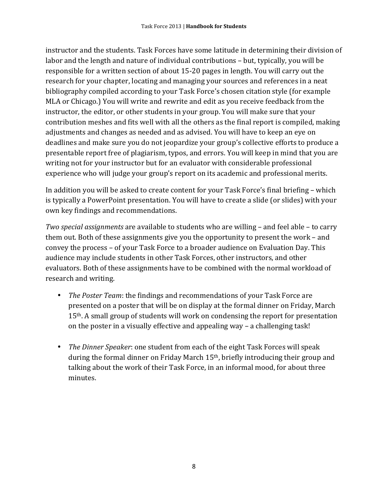instructor and the students. Task Forces have some latitude in determining their division of labor and the length and nature of individual contributions – but, typically, you will be responsible for a written section of about 15-20 pages in length. You will carry out the research for your chapter, locating and managing your sources and references in a neat bibliography compiled according to your Task Force's chosen citation style (for example MLA or Chicago.) You will write and rewrite and edit as you receive feedback from the instructor, the editor, or other students in your group. You will make sure that your contribution meshes and fits well with all the others as the final report is compiled, making adjustments and changes as needed and as advised. You will have to keep an eye on deadlines and make sure you do not jeopardize your group's collective efforts to produce a presentable report free of plagiarism, typos, and errors. You will keep in mind that you are writing not for your instructor but for an evaluator with considerable professional experience who will judge your group's report on its academic and professional merits.

In addition you will be asked to create content for your Task Force's final briefing – which is typically a PowerPoint presentation. You will have to create a slide (or slides) with your own key findings and recommendations.

*Two special assignments* are available to students who are willing – and feel able – to carry them out. Both of these assignments give you the opportunity to present the work – and convey the process - of your Task Force to a broader audience on Evaluation Day. This audience may include students in other Task Forces, other instructors, and other evaluators. Both of these assignments have to be combined with the normal workload of research and writing.

- *The Poster Team*: the findings and recommendations of your Task Force are presented on a poster that will be on display at the formal dinner on Friday, March 15<sup>th</sup>. A small group of students will work on condensing the report for presentation on the poster in a visually effective and appealing way  $-$  a challenging task!
- *The Dinner Speaker*: one student from each of the eight Task Forces will speak during the formal dinner on Friday March  $15<sup>th</sup>$ , briefly introducing their group and talking about the work of their Task Force, in an informal mood, for about three minutes.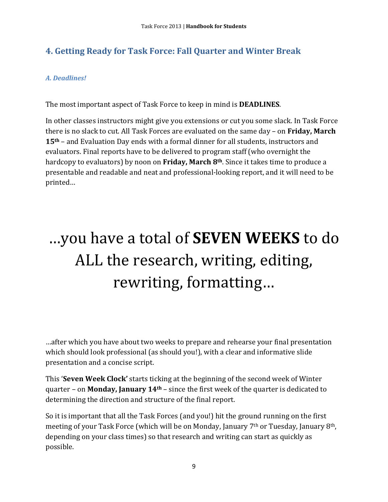### **4. Getting Ready for Task Force: Fall Quarter and Winter Break**

### *A. Deadlines!*

The most important aspect of Task Force to keep in mind is **DEADLINES**.

In other classes instructors might give you extensions or cut you some slack. In Task Force there is no slack to cut. All Task Forces are evaluated on the same day – on Friday, March 15<sup>th</sup> – and Evaluation Day ends with a formal dinner for all students, instructors and evaluators. Final reports have to be delivered to program staff (who overnight the hardcopy to evaluators) by noon on Friday, March 8<sup>th</sup>. Since it takes time to produce a presentable and readable and neat and professional-looking report, and it will need to be printed… 

# …you have a total of **SEVEN WEEKS** to do ALL the research, writing, editing, rewriting, formatting...

...after which you have about two weeks to prepare and rehearse your final presentation which should look professional (as should you!), with a clear and informative slide presentation and a concise script.

This **'Seven Week Clock'** starts ticking at the beginning of the second week of Winter quarter – on **Monday, January 14<sup>th</sup>** – since the first week of the quarter is dedicated to determining the direction and structure of the final report.

So it is important that all the Task Forces (and you!) hit the ground running on the first meeting of your Task Force (which will be on Monday, January  $7<sup>th</sup>$  or Tuesday, January  $8<sup>th</sup>$ , depending on your class times) so that research and writing can start as quickly as possible.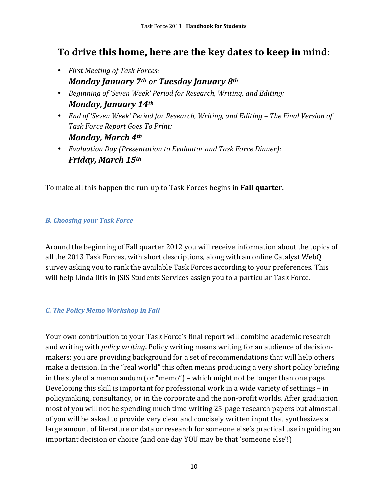### **To drive this home, here are the key dates to keep in mind:**

- *First Meeting of Task Forces: Monday January 7th or Tuesday January 8th*
- *Beginning of 'Seven Week' Period for Research, Writing, and Editing: Monday, January 14th*
- *End of 'Seven Week' Period for Research, Writing, and Editing The Final Version of Task Force Report Goes To Print: Monday, March 4th*
- *Evaluation Day (Presentation to Evaluator and Task Force Dinner): Friday, March 15th*

To make all this happen the run-up to Task Forces begins in **Fall quarter.** 

### *B. Choosing your Task Force*

Around the beginning of Fall quarter 2012 you will receive information about the topics of all the 2013 Task Forces, with short descriptions, along with an online Catalyst WebQ survey asking you to rank the available Task Forces according to your preferences. This will help Linda Iltis in JSIS Students Services assign you to a particular Task Force.

### *C. The Policy Memo Workshop in Fall*

Your own contribution to your Task Force's final report will combine academic research and writing with *policy writing*. Policy writing means writing for an audience of decisionmakers: you are providing background for a set of recommendations that will help others make a decision. In the "real world" this often means producing a very short policy briefing in the style of a memorandum (or "memo") – which might not be longer than one page. Developing this skill is important for professional work in a wide variety of settings  $-$  in policymaking, consultancy, or in the corporate and the non-profit worlds. After graduation most of you will not be spending much time writing 25-page research papers but almost all of you will be asked to provide very clear and concisely written input that synthesizes a large amount of literature or data or research for someone else's practical use in guiding an important decision or choice (and one day YOU may be that 'someone else'!)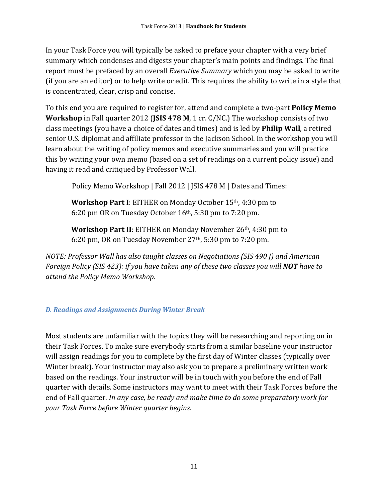In your Task Force you will typically be asked to preface your chapter with a very brief summary which condenses and digests your chapter's main points and findings. The final report must be prefaced by an overall *Executive Summary* which you may be asked to write (if you are an editor) or to help write or edit. This requires the ability to write in a style that is concentrated, clear, crisp and concise.

To this end you are required to register for, attend and complete a two-part **Policy Memo Workshop** in Fall quarter 2012 (**JSIS 478 M**, 1 cr. C/NC.) The workshop consists of two class meetings (you have a choice of dates and times) and is led by **Philip Wall**, a retired senior U.S. diplomat and affiliate professor in the Jackson School. In the workshop you will learn about the writing of policy memos and executive summaries and you will practice this by writing your own memo (based on a set of readings on a current policy issue) and having it read and critiqued by Professor Wall.

Policy Memo Workshop | Fall 2012 | JSIS 478 M | Dates and Times:

**Workshop Part I**: EITHER on Monday October 15<sup>th</sup>, 4:30 pm to 6:20 pm OR on Tuesday October  $16<sup>th</sup>$ , 5:30 pm to 7:20 pm.

**Workshop Part II**: EITHER on Monday November 26<sup>th</sup>, 4:30 pm to 6:20 pm, OR on Tuesday November 27<sup>th</sup>, 5:30 pm to 7:20 pm.

*NOTE: Professor Wall has also taught classes on Negotiations (SIS 490 J) and American Foreign Policy (SIS 423): if you have taken any of these two classes you will NOT have to attend the Policy Memo Workshop.* 

### *D. Readings and Assignments During Winter Break*

Most students are unfamiliar with the topics they will be researching and reporting on in their Task Forces. To make sure everybody starts from a similar baseline your instructor will assign readings for you to complete by the first day of Winter classes (typically over Winter break). Your instructor may also ask you to prepare a preliminary written work based on the readings. Your instructor will be in touch with you before the end of Fall quarter with details. Some instructors may want to meet with their Task Forces before the end of Fall quarter. *In any case, be ready and make time to do some preparatory work for your Task Force before Winter quarter begins.*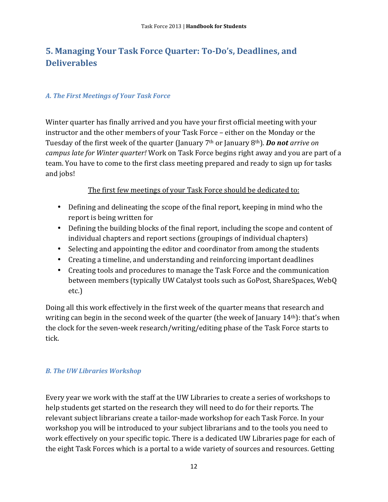### **5. Managing Your Task Force Quarter: To-Do's, Deadlines, and Deliverables**

### *A. The First Meetings of Your Task Force*

Winter quarter has finally arrived and you have your first official meeting with your instructor and the other members of your Task Force - either on the Monday or the Tuesday of the first week of the quarter (January 7<sup>th</sup> or January 8<sup>th</sup>). **Do not** arrive on *campus late for Winter quarter!* Work on Task Force begins right away and you are part of a team. You have to come to the first class meeting prepared and ready to sign up for tasks and jobs!

### The first few meetings of your Task Force should be dedicated to:

- Defining and delineating the scope of the final report, keeping in mind who the report is being written for
- Defining the building blocks of the final report, including the scope and content of individual chapters and report sections (groupings of individual chapters)
- Selecting and appointing the editor and coordinator from among the students
- Creating a timeline, and understanding and reinforcing important deadlines
- Creating tools and procedures to manage the Task Force and the communication between members (typically UW Catalyst tools such as GoPost, ShareSpaces, WebQ etc.)

Doing all this work effectively in the first week of the quarter means that research and writing can begin in the second week of the quarter (the week of January  $14<sup>th</sup>$ ): that's when the clock for the seven-week research/writing/editing phase of the Task Force starts to tick. 

### *B. The UW Libraries Workshop*

Every year we work with the staff at the UW Libraries to create a series of workshops to help students get started on the research they will need to do for their reports. The relevant subject librarians create a tailor-made workshop for each Task Force. In your workshop you will be introduced to your subject librarians and to the tools you need to work effectively on your specific topic. There is a dedicated UW Libraries page for each of the eight Task Forces which is a portal to a wide variety of sources and resources. Getting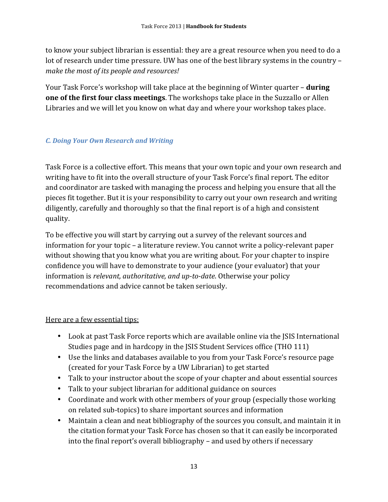to know your subject librarian is essential: they are a great resource when you need to do a lot of research under time pressure. UW has one of the best library systems in the country – *make the most of its people and resources!*

Your Task Force's workshop will take place at the beginning of Winter quarter – **during one of the first four class meetings**. The workshops take place in the Suzzallo or Allen Libraries and we will let you know on what day and where your workshop takes place.

### *C. Doing Your Own Research and Writing*

Task Force is a collective effort. This means that your own topic and your own research and writing have to fit into the overall structure of your Task Force's final report. The editor and coordinator are tasked with managing the process and helping you ensure that all the pieces fit together. But it is your responsibility to carry out your own research and writing diligently, carefully and thoroughly so that the final report is of a high and consistent quality. 

To be effective you will start by carrying out a survey of the relevant sources and information for your topic – a literature review. You cannot write a policy-relevant paper without showing that you know what you are writing about. For your chapter to inspire confidence you will have to demonstrate to your audience (your evaluator) that your information is *relevant, authoritative, and up-to-date*. Otherwise your policy recommendations and advice cannot be taken seriously.

### Here are a few essential tips:

- Look at past Task Force reports which are available online via the SSIS International Studies page and in hardcopy in the JSIS Student Services office (THO 111)
- Use the links and databases available to you from your Task Force's resource page (created for your Task Force by a UW Librarian) to get started
- Talk to your instructor about the scope of your chapter and about essential sources
- Talk to your subject librarian for additional guidance on sources
- Coordinate and work with other members of your group (especially those working on related sub-topics) to share important sources and information
- Maintain a clean and neat bibliography of the sources you consult, and maintain it in the citation format your Task Force has chosen so that it can easily be incorporated into the final report's overall bibliography – and used by others if necessary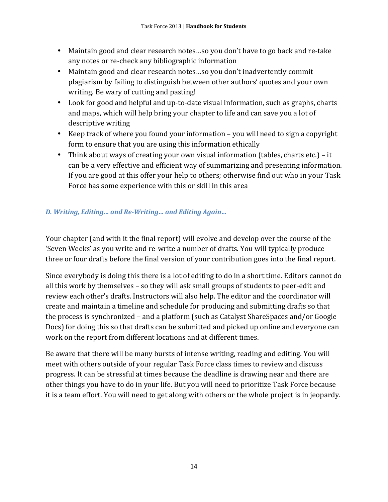- Maintain good and clear research notes...so you don't have to go back and re-take any notes or re-check any bibliographic information
- Maintain good and clear research notes...so you don't inadvertently commit plagiarism by failing to distinguish between other authors' quotes and your own writing. Be wary of cutting and pasting!
- Look for good and helpful and up-to-date visual information, such as graphs, charts and maps, which will help bring your chapter to life and can save you a lot of descriptive writing
- Keep track of where you found your information  $-$  you will need to sign a copyright form to ensure that you are using this information ethically
- Think about ways of creating your own visual information (tables, charts etc.) it can be a very effective and efficient way of summarizing and presenting information. If you are good at this offer your help to others; otherwise find out who in your Task Force has some experience with this or skill in this area

### *D. Writing, Editing… and Re-Writing… and Editing Again…*

Your chapter (and with it the final report) will evolve and develop over the course of the 'Seven Weeks' as you write and re-write a number of drafts. You will typically produce three or four drafts before the final version of your contribution goes into the final report.

Since everybody is doing this there is a lot of editing to do in a short time. Editors cannot do all this work by themselves – so they will ask small groups of students to peer-edit and review each other's drafts. Instructors will also help. The editor and the coordinator will create and maintain a timeline and schedule for producing and submitting drafts so that the process is synchronized – and a platform (such as Catalyst ShareSpaces and/or Google Docs) for doing this so that drafts can be submitted and picked up online and everyone can work on the report from different locations and at different times.

Be aware that there will be many bursts of intense writing, reading and editing. You will meet with others outside of your regular Task Force class times to review and discuss progress. It can be stressful at times because the deadline is drawing near and there are other things you have to do in your life. But you will need to prioritize Task Force because it is a team effort. You will need to get along with others or the whole project is in jeopardy.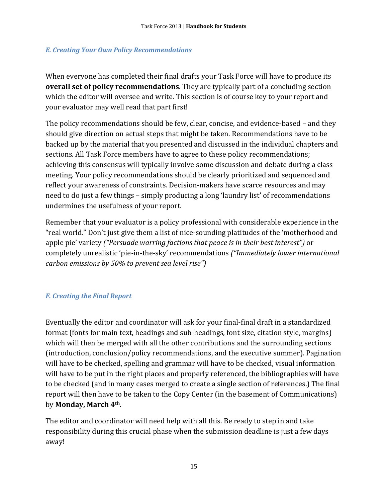### *E. Creating Your Own Policy Recommendations*

When everyone has completed their final drafts your Task Force will have to produce its **overall set of policy recommendations**. They are typically part of a concluding section which the editor will oversee and write. This section is of course key to your report and your evaluator may well read that part first!

The policy recommendations should be few, clear, concise, and evidence-based – and they should give direction on actual steps that might be taken. Recommendations have to be backed up by the material that you presented and discussed in the individual chapters and sections. All Task Force members have to agree to these policy recommendations; achieving this consensus will typically involve some discussion and debate during a class meeting. Your policy recommendations should be clearly prioritized and sequenced and reflect your awareness of constraints. Decision-makers have scarce resources and may need to do just a few things – simply producing a long 'laundry list' of recommendations undermines the usefulness of your report.

Remember that your evaluator is a policy professional with considerable experience in the "real world." Don't just give them a list of nice-sounding platitudes of the 'motherhood and apple pie' variety ("Persuade warring factions that peace is in their best interest") or completely unrealistic 'pie-in-the-sky' recommendations ("Immediately lower international *carbon emissions by 50% to prevent sea level rise")* 

### *F. Creating the Final Report*

Eventually the editor and coordinator will ask for your final-final draft in a standardized format (fonts for main text, headings and sub-headings, font size, citation style, margins) which will then be merged with all the other contributions and the surrounding sections (introduction, conclusion/policy recommendations, and the executive summer). Pagination will have to be checked, spelling and grammar will have to be checked, visual information will have to be put in the right places and properly referenced, the bibliographies will have to be checked (and in many cases merged to create a single section of references.) The final report will then have to be taken to the Copy Center (in the basement of Communications) by **Monday, March 4th**. 

The editor and coordinator will need help with all this. Be ready to step in and take responsibility during this crucial phase when the submission deadline is just a few days away!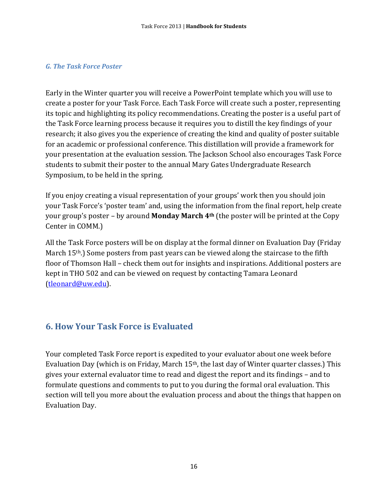### *G. The Task Force Poster*

Early in the Winter quarter you will receive a PowerPoint template which you will use to create a poster for your Task Force. Each Task Force will create such a poster, representing its topic and highlighting its policy recommendations. Creating the poster is a useful part of the Task Force learning process because it requires you to distill the key findings of your research; it also gives you the experience of creating the kind and quality of poster suitable for an academic or professional conference. This distillation will provide a framework for your presentation at the evaluation session. The Jackson School also encourages Task Force students to submit their poster to the annual Mary Gates Undergraduate Research Symposium, to be held in the spring.

If you enjoy creating a visual representation of your groups' work then you should join your Task Force's 'poster team' and, using the information from the final report, help create your group's poster - by around **Monday March 4<sup>th</sup>** (the poster will be printed at the Copy Center in COMM.)

All the Task Force posters will be on display at the formal dinner on Evaluation Day (Friday March  $15<sup>th</sup>$ .) Some posters from past years can be viewed along the staircase to the fifth floor of Thomson Hall – check them out for insights and inspirations. Additional posters are kept in THO 502 and can be viewed on request by contacting Tamara Leonard (tleonard@uw.edu). 

### **6. How Your Task Force is Evaluated**

Your completed Task Force report is expedited to your evaluator about one week before Evaluation Day (which is on Friday, March  $15<sup>th</sup>$ , the last day of Winter quarter classes.) This gives your external evaluator time to read and digest the report and its findings – and to formulate questions and comments to put to you during the formal oral evaluation. This section will tell you more about the evaluation process and about the things that happen on Evaluation Day.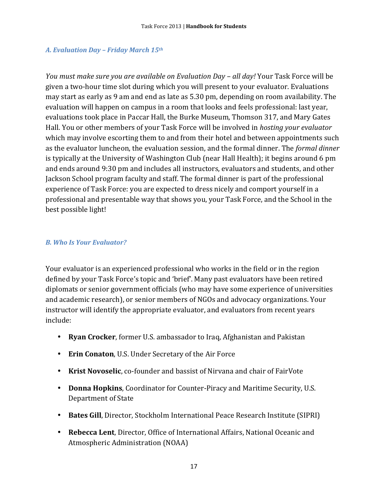### *A. Evaluation Day – Friday March 15th*

*You must make sure you are available on Evaluation Day – all day!* Your Task Force will be given a two-hour time slot during which you will present to your evaluator. Evaluations may start as early as 9 am and end as late as 5.30 pm, depending on room availability. The evaluation will happen on campus in a room that looks and feels professional: last year, evaluations took place in Paccar Hall, the Burke Museum, Thomson 317, and Mary Gates Hall. You or other members of your Task Force will be involved in *hosting your evaluator* which may involve escorting them to and from their hotel and between appointments such as the evaluator luncheon, the evaluation session, and the formal dinner. The *formal dinner* is typically at the University of Washington Club (near Hall Health); it begins around 6 pm and ends around 9:30 pm and includes all instructors, evaluators and students, and other Jackson School program faculty and staff. The formal dinner is part of the professional experience of Task Force: you are expected to dress nicely and comport yourself in a professional and presentable way that shows you, your Task Force, and the School in the best possible light!

### *B. Who Is Your Evaluator?*

Your evaluator is an experienced professional who works in the field or in the region defined by your Task Force's topic and 'brief'. Many past evaluators have been retired diplomats or senior government officials (who may have some experience of universities and academic research), or senior members of NGOs and advocacy organizations. Your instructor will identify the appropriate evaluator, and evaluators from recent years include: 

- **Ryan Crocker**, former U.S. ambassador to Iraq, Afghanistan and Pakistan
- **Erin Conaton**, U.S. Under Secretary of the Air Force
- **Krist Novoselic**, co-founder and bassist of Nirvana and chair of FairVote
- **Donna Hopkins**, Coordinator for Counter-Piracy and Maritime Security, U.S. Department of State
- Bates Gill, Director, Stockholm International Peace Research Institute (SIPRI)
- **Rebecca Lent**, Director, Office of International Affairs, National Oceanic and Atmospheric Administration (NOAA)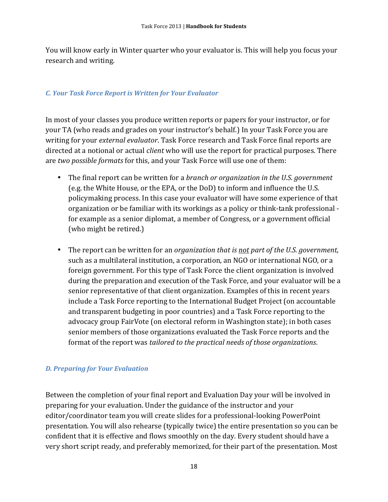You will know early in Winter quarter who your evaluator is. This will help you focus your research and writing.

### *C. Your Task Force Report is Written for Your Evaluator*

In most of your classes you produce written reports or papers for your instructor, or for your TA (who reads and grades on your instructor's behalf.) In your Task Force you are writing for your *external evaluator*. Task Force research and Task Force final reports are directed at a notional or actual *client* who will use the report for practical purposes. There are *two possible formats* for this, and your Task Force will use one of them:

- The final report can be written for a *branch or organization in the U.S. government* (e.g. the White House, or the EPA, or the DoD) to inform and influence the U.S. policymaking process. In this case your evaluator will have some experience of that organization or be familiar with its workings as a policy or think-tank professional for example as a senior diplomat, a member of Congress, or a government official (who might be retired.)
- The report can be written for an *organization that is <u>not</u> part of the U.S. government*, such as a multilateral institution, a corporation, an NGO or international NGO, or a foreign government. For this type of Task Force the client organization is involved during the preparation and execution of the Task Force, and your evaluator will be a senior representative of that client organization. Examples of this in recent vears include a Task Force reporting to the International Budget Project (on accountable and transparent budgeting in poor countries) and a Task Force reporting to the advocacy group FairVote (on electoral reform in Washington state); in both cases senior members of those organizations evaluated the Task Force reports and the format of the report was *tailored to the practical needs of those organizations*.

### *D. Preparing for Your Evaluation*

Between the completion of your final report and Evaluation Day your will be involved in preparing for your evaluation. Under the guidance of the instructor and your editor/coordinator team you will create slides for a professional-looking PowerPoint presentation. You will also rehearse (typically twice) the entire presentation so you can be confident that it is effective and flows smoothly on the day. Every student should have a very short script ready, and preferably memorized, for their part of the presentation. Most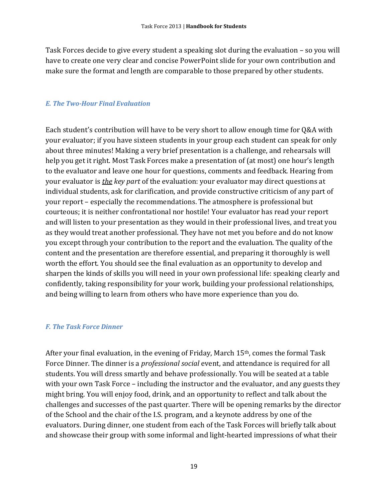Task Forces decide to give every student a speaking slot during the evaluation - so you will have to create one very clear and concise PowerPoint slide for your own contribution and make sure the format and length are comparable to those prepared by other students.

#### *E. The Two-Hour Final Evaluation*

Each student's contribution will have to be very short to allow enough time for Q&A with your evaluator; if you have sixteen students in your group each student can speak for only about three minutes! Making a very brief presentation is a challenge, and rehearsals will help you get it right. Most Task Forces make a presentation of (at most) one hour's length to the evaluator and leave one hour for questions, comments and feedback. Hearing from your evaluator is *the key part* of the evaluation: your evaluator may direct questions at individual students, ask for clarification, and provide constructive criticism of any part of your report – especially the recommendations. The atmosphere is professional but courteous; it is neither confrontational nor hostile! Your evaluator has read your report and will listen to your presentation as they would in their professional lives, and treat you as they would treat another professional. They have not met you before and do not know you except through your contribution to the report and the evaluation. The quality of the content and the presentation are therefore essential, and preparing it thoroughly is well worth the effort. You should see the final evaluation as an opportunity to develop and sharpen the kinds of skills you will need in your own professional life: speaking clearly and confidently, taking responsibility for your work, building your professional relationships, and being willing to learn from others who have more experience than you do.

#### *F. The Task Force Dinner*

After your final evaluation, in the evening of Friday, March  $15<sup>th</sup>$ , comes the formal Task Force Dinner. The dinner is a *professional social* event, and attendance is required for all students. You will dress smartly and behave professionally. You will be seated at a table with your own Task Force – including the instructor and the evaluator, and any guests they might bring. You will enjoy food, drink, and an opportunity to reflect and talk about the challenges and successes of the past quarter. There will be opening remarks by the director of the School and the chair of the I.S. program, and a keynote address by one of the evaluators. During dinner, one student from each of the Task Forces will briefly talk about and showcase their group with some informal and light-hearted impressions of what their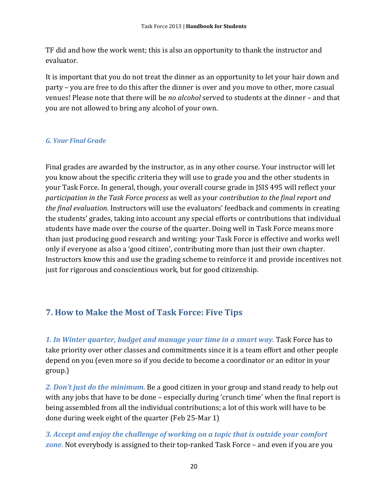TF did and how the work went; this is also an opportunity to thank the instructor and evaluator. 

It is important that you do not treat the dinner as an opportunity to let your hair down and party – you are free to do this after the dinner is over and you move to other, more casual venues! Please note that there will be *no alcohol* served to students at the dinner - and that you are not allowed to bring any alcohol of your own.

### *G. Your Final Grade*

Final grades are awarded by the instructor, as in any other course. Your instructor will let you know about the specific criteria they will use to grade you and the other students in your Task Force. In general, though, your overall course grade in JSIS 495 will reflect your *participation in the Task Force process* as well as your *contribution to the final report and the final evaluation*. Instructors will use the evaluators' feedback and comments in creating the students' grades, taking into account any special efforts or contributions that individual students have made over the course of the quarter. Doing well in Task Force means more than just producing good research and writing: your Task Force is effective and works well only if everyone as also a 'good citizen', contributing more than just their own chapter. Instructors know this and use the grading scheme to reinforce it and provide incentives not just for rigorous and conscientious work, but for good citizenship.

### **7. How to Make the Most of Task Force: Five Tips**

1. In Winter quarter, budget and manage your time in a smart way. Task Force has to take priority over other classes and commitments since it is a team effort and other people depend on you (even more so if you decide to become a coordinator or an editor in your group.) 

2. Don't just do the minimum. Be a good citizen in your group and stand ready to help out with any jobs that have to be done - especially during 'crunch time' when the final report is being assembled from all the individual contributions; a lot of this work will have to be done during week eight of the quarter (Feb 25-Mar 1)

*3. Accept and enjoy the challenge of working on a topic that is outside your comfort*  **zone.** Not everybody is assigned to their top-ranked Task Force – and even if you are you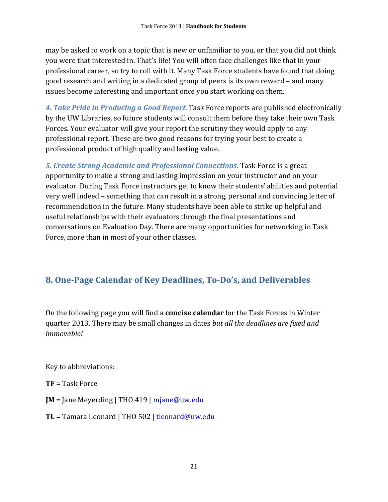may be asked to work on a topic that is new or unfamiliar to you, or that you did not think you were that interested in. That's life! You will often face challenges like that in your professional career, so try to roll with it. Many Task Force students have found that doing good research and writing in a dedicated group of peers is its own reward – and many issues become interesting and important once you start working on them.

4. Take Pride in Producing a Good Report. Task Force reports are published electronically by the UW Libraries, so future students will consult them before they take their own Task Forces. Your evaluator will give your report the scrutiny they would apply to any professional report. These are two good reasons for trying your best to create a professional product of high quality and lasting value.

**5. Create Strong Academic and Professional Connections. Task Force is a great** opportunity to make a strong and lasting impression on your instructor and on your evaluator. During Task Force instructors get to know their students' abilities and potential very well indeed – something that can result in a strong, personal and convincing letter of recommendation in the future. Many students have been able to strike up helpful and useful relationships with their evaluators through the final presentations and conversations on Evaluation Day. There are many opportunities for networking in Task Force, more than in most of your other classes.

### **8. One-Page Calendar of Key Deadlines, To-Do's, and Deliverables**

On the following page you will find a **concise calendar** for the Task Forces in Winter quarter 2013. There may be small changes in dates *but all the deadlines are fixed and immovable!* 

Key to abbreviations:

- **TF** = Task Force
- **JM** = Jane Meyerding | THO 419  $\vert$  mjane@uw.edu
- **TL** = Tamara Leonard | THO 502 | tleonard@uw.edu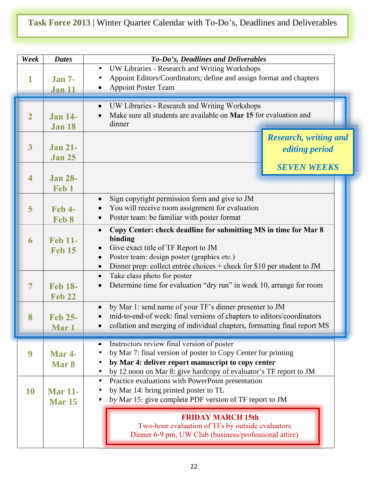### **Task Force 2013** | Winter Quarter Calendar with To-Do's, Deadlines and Deliverables

| Week                    | <b>Dates</b>                      | To-Do's, Deadlines and Deliverables                                                                                                                                                                                                                                                            |  |
|-------------------------|-----------------------------------|------------------------------------------------------------------------------------------------------------------------------------------------------------------------------------------------------------------------------------------------------------------------------------------------|--|
| 1                       | <b>Jan 7-</b><br><b>Jan 11</b>    | UW Libraries - Research and Writing Workshops<br>$\bullet$<br>Appoint Editors/Coordinators; define and assign format and chapters<br>$\bullet$<br><b>Appoint Poster Team</b><br>$\bullet$                                                                                                      |  |
| $\overline{2}$          | <b>Jan 14-</b><br><b>Jan 18</b>   | UW Libraries - Research and Writing Workshops<br>$\bullet$<br>Make sure all students are available on Mar 15 for evaluation and<br>dinner                                                                                                                                                      |  |
| $\overline{\mathbf{3}}$ | <b>Jan 21-</b><br><b>Jan 25</b>   | <b>Research, writing and</b><br><i>editing period</i>                                                                                                                                                                                                                                          |  |
| $\overline{\mathbf{4}}$ | <b>Jan 28-</b><br>Feb 1           | <b>SEVEN WEEKS</b>                                                                                                                                                                                                                                                                             |  |
| 5                       | <b>Feb 4-</b><br>Feb 8            | Sign copyright permission form and give to JM<br>$\bullet$<br>You will receive room assignment for evaluation<br>Poster team: be familiar with poster format                                                                                                                                   |  |
| 6                       | <b>Feb 11-</b><br><b>Feb 15</b>   | Copy Center: check deadline for submitting MS in time for Mar 8<br>$\bullet$<br>binding<br>Give exact title of TF Report to JM<br>$\bullet$<br>Poster team: design poster (graphics etc.)<br>$\bullet$<br>Dinner prep: collect entrée choices + check for $$10$ per student to JM<br>$\bullet$ |  |
| $\overline{7}$          | <b>Feb 18-</b><br><b>Feb 22</b>   | Take class photo for poster<br>$\bullet$<br>Determine time for evaluation "dry run" in week 10, arrange for room<br>$\bullet$                                                                                                                                                                  |  |
| 8                       | <b>Feb 25-</b><br>Mar 1           | by Mar 1: send name of your TF's dinner presenter to JM<br>$\bullet$<br>mid-to-end-of week: final versions of chapters to editors/coordinators<br>$\bullet$<br>collation and merging of individual chapters, formatting final report MS<br>$\bullet$                                           |  |
| 9                       | <b>Mar 4-</b><br>Mar <sub>8</sub> | Instructors review final version of poster<br>by Mar 7: final version of poster to Copy Center for printing<br>by Mar 4: deliver report manuscript to copy center<br>by 12 noon on Mar 8: give hardcopy of evaluator's TF report to JM                                                         |  |
| <b>10</b>               | <b>Mar 11-</b><br><b>Mar 15</b>   | Practice evaluations with PowerPoint presentation<br>$\bullet$<br>by Mar 14: bring printed poster to TL<br>by Mar 15: give complete PDF version of TF report to JM                                                                                                                             |  |
|                         |                                   | <b>FRIDAY MARCH 15th</b><br>Two-hour evaluation of TFs by outside evaluators<br>Dinner 6-9 pm, UW Club (business/professional attire)                                                                                                                                                          |  |